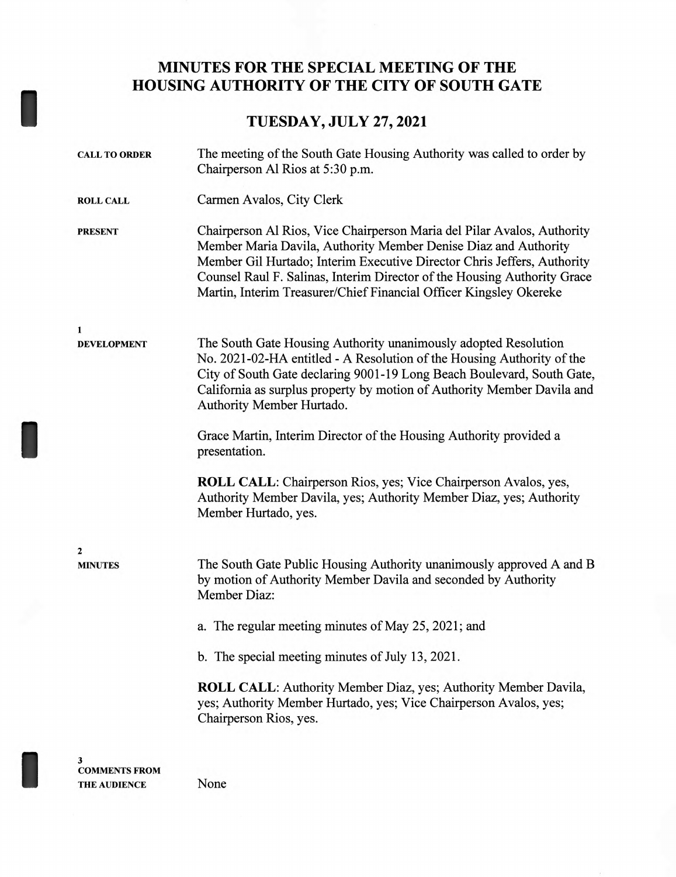## **MINUTES FOR THE SPECIAL MEETING OF THE HOUSING AUTHORITY OF THE CITY OF SOUTH GATE**

## **TUESDAY, JULY 27, 2021**

| <b>CALL TO ORDER</b>      | The meeting of the South Gate Housing Authority was called to order by<br>Chairperson Al Rios at 5:30 p.m.                                                                                                                                                                                                                                                              |
|---------------------------|-------------------------------------------------------------------------------------------------------------------------------------------------------------------------------------------------------------------------------------------------------------------------------------------------------------------------------------------------------------------------|
| <b>ROLL CALL</b>          | Carmen Avalos, City Clerk                                                                                                                                                                                                                                                                                                                                               |
| <b>PRESENT</b>            | Chairperson Al Rios, Vice Chairperson Maria del Pilar Avalos, Authority<br>Member Maria Davila, Authority Member Denise Diaz and Authority<br>Member Gil Hurtado; Interim Executive Director Chris Jeffers, Authority<br>Counsel Raul F. Salinas, Interim Director of the Housing Authority Grace<br>Martin, Interim Treasurer/Chief Financial Officer Kingsley Okereke |
| 1                         |                                                                                                                                                                                                                                                                                                                                                                         |
| <b>DEVELOPMENT</b>        | The South Gate Housing Authority unanimously adopted Resolution<br>No. 2021-02-HA entitled - A Resolution of the Housing Authority of the<br>City of South Gate declaring 9001-19 Long Beach Boulevard, South Gate,<br>California as surplus property by motion of Authority Member Davila and<br>Authority Member Hurtado.                                             |
|                           | Grace Martin, Interim Director of the Housing Authority provided a<br>presentation.                                                                                                                                                                                                                                                                                     |
|                           | <b>ROLL CALL:</b> Chairperson Rios, yes; Vice Chairperson Avalos, yes,<br>Authority Member Davila, yes; Authority Member Diaz, yes; Authority<br>Member Hurtado, yes.                                                                                                                                                                                                   |
| $\overline{\mathbf{2}}$   |                                                                                                                                                                                                                                                                                                                                                                         |
| <b>MINUTES</b>            | The South Gate Public Housing Authority unanimously approved A and B<br>by motion of Authority Member Davila and seconded by Authority<br><b>Member Diaz:</b>                                                                                                                                                                                                           |
|                           | a. The regular meeting minutes of May 25, 2021; and                                                                                                                                                                                                                                                                                                                     |
|                           | b. The special meeting minutes of July 13, 2021.                                                                                                                                                                                                                                                                                                                        |
|                           | <b>ROLL CALL:</b> Authority Member Diaz, yes; Authority Member Davila,<br>yes; Authority Member Hurtado, yes; Vice Chairperson Avalos, yes;<br>Chairperson Rios, yes.                                                                                                                                                                                                   |
| 3<br><b>COMMENTS FROM</b> |                                                                                                                                                                                                                                                                                                                                                                         |
| <b>THE AUDIENCE</b>       | None                                                                                                                                                                                                                                                                                                                                                                    |